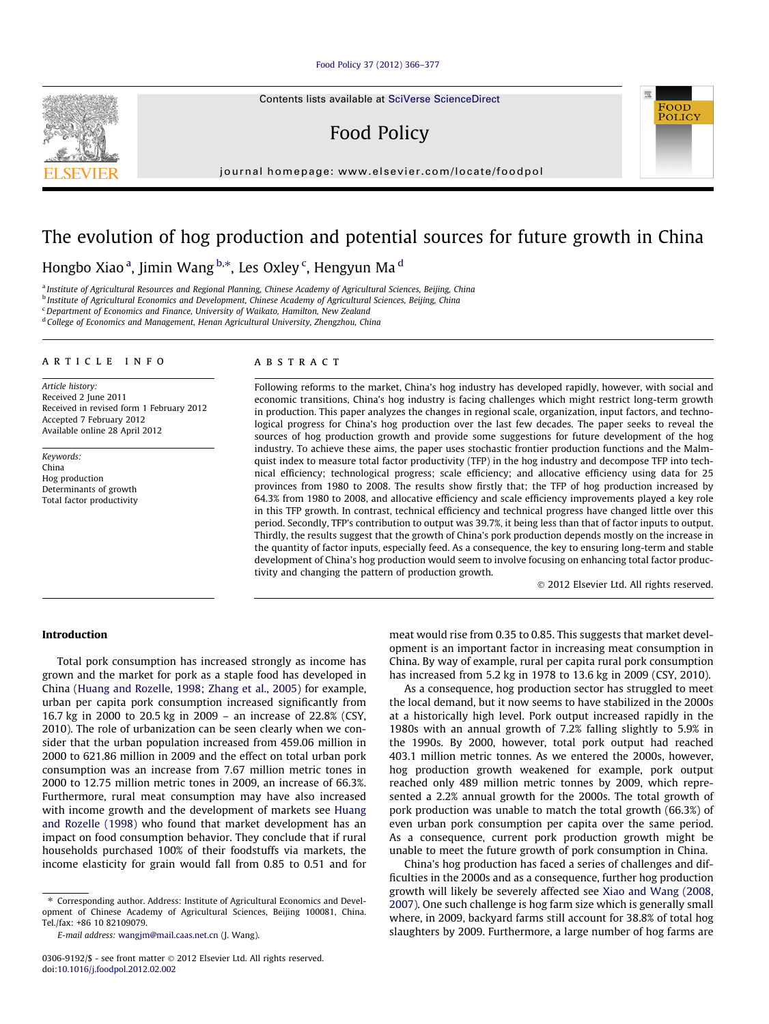#### [Food Policy 37 \(2012\) 366–377](http://dx.doi.org/10.1016/j.foodpol.2012.02.002)

Contents lists available at [SciVerse ScienceDirect](http://www.sciencedirect.com/science/journal/03069192)

## Food Policy

journal homepage: [www.elsevier.com/locate/foodpol](http://www.elsevier.com/locate/foodpol)

### The evolution of hog production and potential sources for future growth in China

### Hongbo Xiao <sup>a</sup>, Jimin Wang <sup>b,</sup>\*, Les Oxley <sup>c</sup>, Hengyun Ma <sup>d</sup>

a Institute of Agricultural Resources and Regional Planning, Chinese Academy of Agricultural Sciences, Beijing, China

<sup>b</sup> Institute of Agricultural Economics and Development, Chinese Academy of Agricultural Sciences, Beijing, China

 $c$  Department of Economics and Finance, University of Waikato, Hamilton, New Zealand

<sup>d</sup> College of Economics and Management, Henan Agricultural University, Zhengzhou, China

#### article info

Article history: Received 2 June 2011 Received in revised form 1 February 2012 Accepted 7 February 2012 Available online 28 April 2012

Keywords: China Hog production Determinants of growth Total factor productivity

#### ABSTRACT

Following reforms to the market, China's hog industry has developed rapidly, however, with social and economic transitions, China's hog industry is facing challenges which might restrict long-term growth in production. This paper analyzes the changes in regional scale, organization, input factors, and technological progress for China's hog production over the last few decades. The paper seeks to reveal the sources of hog production growth and provide some suggestions for future development of the hog industry. To achieve these aims, the paper uses stochastic frontier production functions and the Malmquist index to measure total factor productivity (TFP) in the hog industry and decompose TFP into technical efficiency; technological progress; scale efficiency; and allocative efficiency using data for 25 provinces from 1980 to 2008. The results show firstly that; the TFP of hog production increased by 64.3% from 1980 to 2008, and allocative efficiency and scale efficiency improvements played a key role in this TFP growth. In contrast, technical efficiency and technical progress have changed little over this period. Secondly, TFP's contribution to output was 39.7%, it being less than that of factor inputs to output. Thirdly, the results suggest that the growth of China's pork production depends mostly on the increase in the quantity of factor inputs, especially feed. As a consequence, the key to ensuring long-term and stable development of China's hog production would seem to involve focusing on enhancing total factor productivity and changing the pattern of production growth.

- 2012 Elsevier Ltd. All rights reserved.

POLICY

#### Introduction

Total pork consumption has increased strongly as income has grown and the market for pork as a staple food has developed in China [\(Huang and Rozelle, 1998; Zhang et al., 2005](#page--1-0)) for example, urban per capita pork consumption increased significantly from 16.7 kg in 2000 to 20.5 kg in 2009 – an increase of 22.8% (CSY, 2010). The role of urbanization can be seen clearly when we consider that the urban population increased from 459.06 million in 2000 to 621.86 million in 2009 and the effect on total urban pork consumption was an increase from 7.67 million metric tones in 2000 to 12.75 million metric tones in 2009, an increase of 66.3%. Furthermore, rural meat consumption may have also increased with income growth and the development of markets see [Huang](#page--1-0) [and Rozelle \(1998\)](#page--1-0) who found that market development has an impact on food consumption behavior. They conclude that if rural households purchased 100% of their foodstuffs via markets, the income elasticity for grain would fall from 0.85 to 0.51 and for

⇑ Corresponding author. Address: Institute of Agricultural Economics and Development of Chinese Academy of Agricultural Sciences, Beijing 100081, China. Tel./fax: +86 10 82109079.

E-mail address: [wangjm@mail.caas.net.cn](mailto:wangjm@mail.caas.net.cn) (J. Wang).

meat would rise from 0.35 to 0.85. This suggests that market development is an important factor in increasing meat consumption in China. By way of example, rural per capita rural pork consumption has increased from 5.2 kg in 1978 to 13.6 kg in 2009 (CSY, 2010).

As a consequence, hog production sector has struggled to meet the local demand, but it now seems to have stabilized in the 2000s at a historically high level. Pork output increased rapidly in the 1980s with an annual growth of 7.2% falling slightly to 5.9% in the 1990s. By 2000, however, total pork output had reached 403.1 million metric tonnes. As we entered the 2000s, however, hog production growth weakened for example, pork output reached only 489 million metric tonnes by 2009, which represented a 2.2% annual growth for the 2000s. The total growth of pork production was unable to match the total growth (66.3%) of even urban pork consumption per capita over the same period. As a consequence, current pork production growth might be unable to meet the future growth of pork consumption in China.

China's hog production has faced a series of challenges and difficulties in the 2000s and as a consequence, further hog production growth will likely be severely affected see [Xiao and Wang \(2008,](#page--1-0) [2007\).](#page--1-0) One such challenge is hog farm size which is generally small where, in 2009, backyard farms still account for 38.8% of total hog slaughters by 2009. Furthermore, a large number of hog farms are



<sup>0306-9192/\$ -</sup> see front matter © 2012 Elsevier Ltd. All rights reserved. doi:[10.1016/j.foodpol.2012.02.002](http://dx.doi.org/10.1016/j.foodpol.2012.02.002)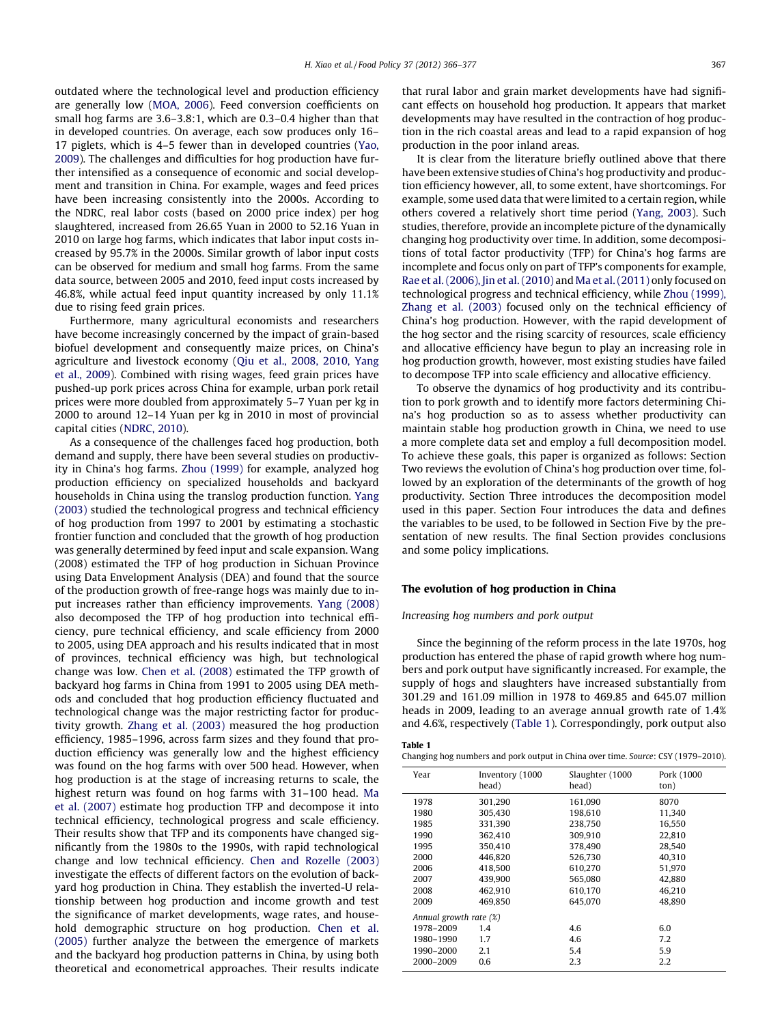outdated where the technological level and production efficiency are generally low [\(MOA, 2006\)](#page--1-0). Feed conversion coefficients on small hog farms are 3.6–3.8:1, which are 0.3–0.4 higher than that in developed countries. On average, each sow produces only 16– 17 piglets, which is 4–5 fewer than in developed countries ([Yao,](#page--1-0) [2009](#page--1-0)). The challenges and difficulties for hog production have further intensified as a consequence of economic and social development and transition in China. For example, wages and feed prices have been increasing consistently into the 2000s. According to the NDRC, real labor costs (based on 2000 price index) per hog slaughtered, increased from 26.65 Yuan in 2000 to 52.16 Yuan in 2010 on large hog farms, which indicates that labor input costs increased by 95.7% in the 2000s. Similar growth of labor input costs can be observed for medium and small hog farms. From the same data source, between 2005 and 2010, feed input costs increased by 46.8%, while actual feed input quantity increased by only 11.1% due to rising feed grain prices.

Furthermore, many agricultural economists and researchers have become increasingly concerned by the impact of grain-based biofuel development and consequently maize prices, on China's agriculture and livestock economy ([Qiu et al., 2008, 2010, Yang](#page--1-0) [et al., 2009](#page--1-0)). Combined with rising wages, feed grain prices have pushed-up pork prices across China for example, urban pork retail prices were more doubled from approximately 5–7 Yuan per kg in 2000 to around 12–14 Yuan per kg in 2010 in most of provincial capital cities ([NDRC, 2010](#page--1-0)).

As a consequence of the challenges faced hog production, both demand and supply, there have been several studies on productivity in China's hog farms. [Zhou \(1999\)](#page--1-0) for example, analyzed hog production efficiency on specialized households and backyard households in China using the translog production function. [Yang](#page--1-0) [\(2003\)](#page--1-0) studied the technological progress and technical efficiency of hog production from 1997 to 2001 by estimating a stochastic frontier function and concluded that the growth of hog production was generally determined by feed input and scale expansion. Wang (2008) estimated the TFP of hog production in Sichuan Province using Data Envelopment Analysis (DEA) and found that the source of the production growth of free-range hogs was mainly due to input increases rather than efficiency improvements. [Yang \(2008\)](#page--1-0) also decomposed the TFP of hog production into technical efficiency, pure technical efficiency, and scale efficiency from 2000 to 2005, using DEA approach and his results indicated that in most of provinces, technical efficiency was high, but technological change was low. [Chen et al. \(2008\)](#page--1-0) estimated the TFP growth of backyard hog farms in China from 1991 to 2005 using DEA methods and concluded that hog production efficiency fluctuated and technological change was the major restricting factor for productivity growth. [Zhang et al. \(2003\)](#page--1-0) measured the hog production efficiency, 1985–1996, across farm sizes and they found that production efficiency was generally low and the highest efficiency was found on the hog farms with over 500 head. However, when hog production is at the stage of increasing returns to scale, the highest return was found on hog farms with 31–100 head. [Ma](#page--1-0) [et al. \(2007\)](#page--1-0) estimate hog production TFP and decompose it into technical efficiency, technological progress and scale efficiency. Their results show that TFP and its components have changed significantly from the 1980s to the 1990s, with rapid technological change and low technical efficiency. [Chen and Rozelle \(2003\)](#page--1-0) investigate the effects of different factors on the evolution of backyard hog production in China. They establish the inverted-U relationship between hog production and income growth and test the significance of market developments, wage rates, and household demographic structure on hog production. [Chen et al.](#page--1-0) [\(2005\)](#page--1-0) further analyze the between the emergence of markets and the backyard hog production patterns in China, by using both theoretical and econometrical approaches. Their results indicate that rural labor and grain market developments have had significant effects on household hog production. It appears that market developments may have resulted in the contraction of hog production in the rich coastal areas and lead to a rapid expansion of hog production in the poor inland areas.

It is clear from the literature briefly outlined above that there have been extensive studies of China's hog productivity and production efficiency however, all, to some extent, have shortcomings. For example, some used data that were limited to a certain region, while others covered a relatively short time period [\(Yang, 2003](#page--1-0)). Such studies, therefore, provide an incomplete picture of the dynamically changing hog productivity over time. In addition, some decompositions of total factor productivity (TFP) for China's hog farms are incomplete and focus only on part of TFP's components for example, [Rae et al. \(2006\), Jin et al. \(2010\)](#page--1-0) and [Ma et al. \(2011\)](#page--1-0) only focused on technological progress and technical efficiency, while [Zhou \(1999\),](#page--1-0) [Zhang et al. \(2003\)](#page--1-0) focused only on the technical efficiency of China's hog production. However, with the rapid development of the hog sector and the rising scarcity of resources, scale efficiency and allocative efficiency have begun to play an increasing role in hog production growth, however, most existing studies have failed to decompose TFP into scale efficiency and allocative efficiency.

To observe the dynamics of hog productivity and its contribution to pork growth and to identify more factors determining China's hog production so as to assess whether productivity can maintain stable hog production growth in China, we need to use a more complete data set and employ a full decomposition model. To achieve these goals, this paper is organized as follows: Section Two reviews the evolution of China's hog production over time, followed by an exploration of the determinants of the growth of hog productivity. Section Three introduces the decomposition model used in this paper. Section Four introduces the data and defines the variables to be used, to be followed in Section Five by the presentation of new results. The final Section provides conclusions and some policy implications.

#### The evolution of hog production in China

#### Increasing hog numbers and pork output

Since the beginning of the reform process in the late 1970s, hog production has entered the phase of rapid growth where hog numbers and pork output have significantly increased. For example, the supply of hogs and slaughters have increased substantially from 301.29 and 161.09 million in 1978 to 469.85 and 645.07 million heads in 2009, leading to an average annual growth rate of 1.4% and 4.6%, respectively (Table 1). Correspondingly, pork output also

#### Table 1

Changing hog numbers and pork output in China over time. Source: CSY (1979–2010).

| Year                   | Inventory (1000<br>head) | Slaughter (1000<br>head) | Pork (1000<br>ton) |
|------------------------|--------------------------|--------------------------|--------------------|
| 1978                   | 301.290                  | 161,090                  | 8070               |
| 1980                   | 305.430                  | 198.610                  | 11,340             |
| 1985                   | 331.390                  | 238.750                  | 16,550             |
| 1990                   | 362.410                  | 309.910                  | 22.810             |
| 1995                   | 350.410                  | 378.490                  | 28,540             |
| 2000                   | 446.820                  | 526,730                  | 40,310             |
| 2006                   | 418.500                  | 610.270                  | 51.970             |
| 2007                   | 439.900                  | 565.080                  | 42.880             |
| 2008                   | 462.910                  | 610.170                  | 46.210             |
| 2009                   | 469.850                  | 645.070                  | 48,890             |
| Annual growth rate (%) |                          |                          |                    |
| 1978-2009              | 1.4                      | 4.6                      | 6.0                |
| 1980-1990              | 1.7                      | 4.6                      | 7.2                |
| 1990-2000              | 2.1                      | 5.4                      | 5.9                |
| 2000-2009              | 0.6                      | 2.3                      | 2.2                |